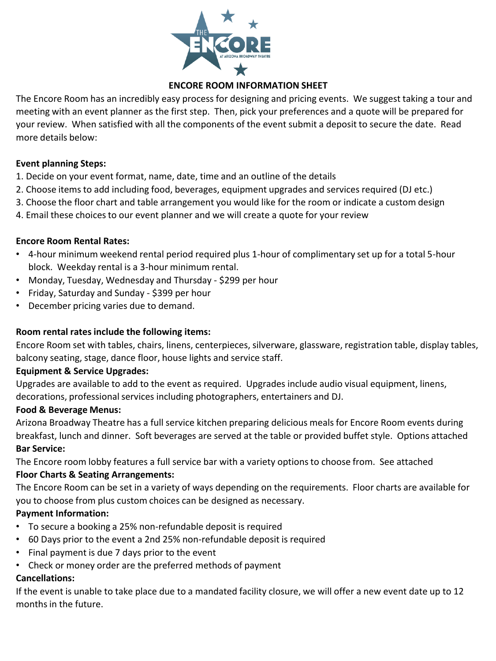

# **ENCORE ROOM INFORMATION SHEET**

The Encore Room has an incredibly easy process for designing and pricing events. We suggest taking a tour and meeting with an event planner as the first step. Then, pick your preferences and a quote will be prepared for your review. When satisfied with all the components of the event submit a deposit to secure the date. Read more details below:

## **Event planning Steps:**

- 1. Decide on your event format, name, date, time and an outline of the details
- 2. Choose items to add including food, beverages, equipment upgrades and services required (DJ etc.)
- 3. Choose the floor chart and table arrangement you would like for the room or indicate a custom design
- 4. Email these choices to our event planner and we will create a quote for your review

## **Encore Room Rental Rates:**

- 4-hour minimum weekend rental period required plus 1-hour of complimentary set up for a total 5-hour block. Weekday rental is a 3-hour minimum rental.
- Monday, Tuesday, Wednesday and Thursday \$299 per hour
- Friday, Saturday and Sunday \$399 per hour
- December pricing varies due to demand.

## **Room rental rates include the following items:**

Encore Room set with tables, chairs, linens, centerpieces, silverware, glassware, registration table, display tables, balcony seating, stage, dance floor, house lights and service staff.

## **Equipment & Service Upgrades:**

Upgrades are available to add to the event as required. Upgrades include audio visual equipment, linens, decorations, professional services including photographers, entertainers and DJ.

## **Food & Beverage Menus:**

Arizona Broadway Theatre has a full service kitchen preparing delicious meals for Encore Room events during breakfast, lunch and dinner. Soft beverages are served at the table or provided buffet style. Options attached **Bar Service:**

The Encore room lobby features a full service bar with a variety options to choose from. See attached

# **Floor Charts & Seating Arrangements:**

The Encore Room can be set in a variety of ways depending on the requirements. Floor charts are available for you to choose from plus custom choices can be designed as necessary.

# **Payment Information:**

- To secure a booking a 25% non-refundable deposit is required
- 60 Days prior to the event a 2nd 25% non-refundable deposit is required
- Final payment is due 7 days prior to the event
- Check or money order are the preferred methods of payment

## **Cancellations:**

If the event is unable to take place due to a mandated facility closure, we will offer a new event date up to 12 months in the future.